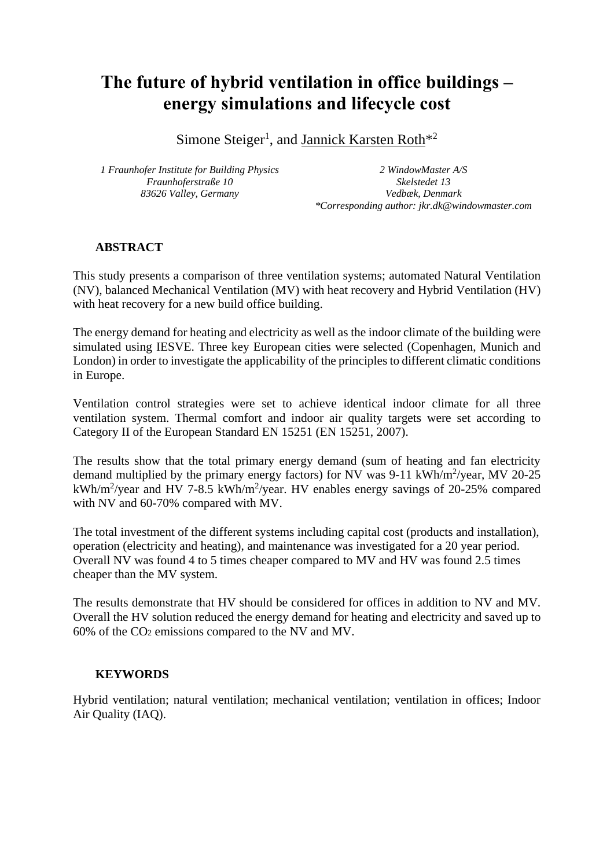# **The future of hybrid ventilation in office buildings – energy simulations and lifecycle cost**

Simone Steiger<sup>1</sup>, and Jannick Karsten Roth<sup>\*2</sup>

*1 Fraunhofer Institute for Building Physics Fraunhoferstraße 10 83626 Valley, Germany*

*2 WindowMaster A/S Skelstedet 13 Vedbæk, Denmark \*Corresponding author: jkr.dk@windowmaster.com*

#### **ABSTRACT**

This study presents a comparison of three ventilation systems; automated Natural Ventilation (NV), balanced Mechanical Ventilation (MV) with heat recovery and Hybrid Ventilation (HV) with heat recovery for a new build office building.

The energy demand for heating and electricity as well as the indoor climate of the building were simulated using IESVE. Three key European cities were selected (Copenhagen, Munich and London) in order to investigate the applicability of the principles to different climatic conditions in Europe.

Ventilation control strategies were set to achieve identical indoor climate for all three ventilation system. Thermal comfort and indoor air quality targets were set according to Category II of the European Standard EN 15251 (EN 15251, 2007).

The results show that the total primary energy demand (sum of heating and fan electricity demand multiplied by the primary energy factors) for NV was  $9-11$  kWh/m<sup>2</sup>/year, MV 20-25 kWh/m<sup>2</sup>/year and HV 7-8.5 kWh/m<sup>2</sup>/year. HV enables energy savings of 20-25% compared with NV and 60-70% compared with MV.

The total investment of the different systems including capital cost (products and installation), operation (electricity and heating), and maintenance was investigated for a 20 year period. Overall NV was found 4 to 5 times cheaper compared to MV and HV was found 2.5 times cheaper than the MV system.

The results demonstrate that HV should be considered for offices in addition to NV and MV. Overall the HV solution reduced the energy demand for heating and electricity and saved up to 60% of the CO<sup>2</sup> emissions compared to the NV and MV.

#### **KEYWORDS**

Hybrid ventilation; natural ventilation; mechanical ventilation; ventilation in offices; Indoor Air Quality (IAQ).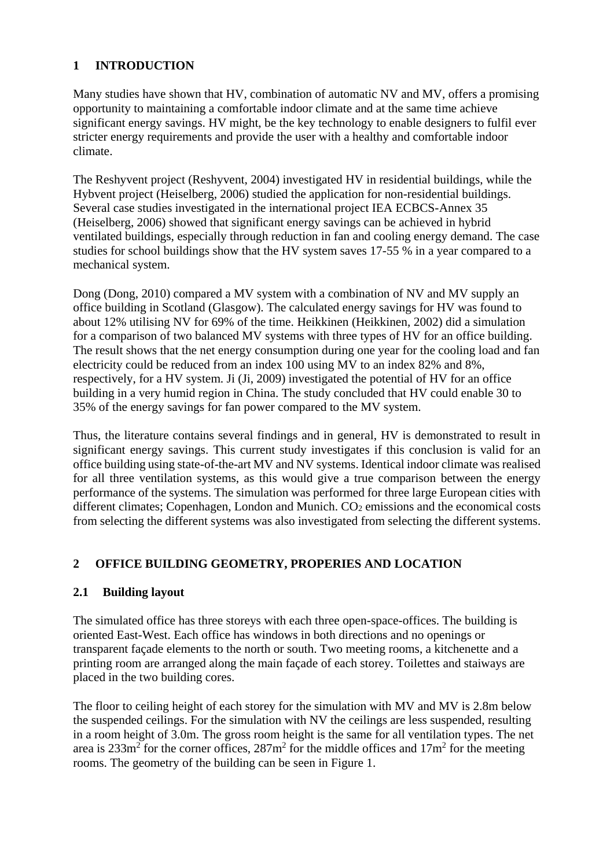#### **1 INTRODUCTION**

Many studies have shown that HV, combination of automatic NV and MV, offers a promising opportunity to maintaining a comfortable indoor climate and at the same time achieve significant energy savings. HV might, be the key technology to enable designers to fulfil ever stricter energy requirements and provide the user with a healthy and comfortable indoor climate.

The Reshyvent project (Reshyvent, 2004) investigated HV in residential buildings, while the Hybvent project (Heiselberg, 2006) studied the application for non-residential buildings. Several case studies investigated in the international project IEA ECBCS-Annex 35 (Heiselberg, 2006) showed that significant energy savings can be achieved in hybrid ventilated buildings, especially through reduction in fan and cooling energy demand. The case studies for school buildings show that the HV system saves 17-55 % in a year compared to a mechanical system.

Dong (Dong, 2010) compared a MV system with a combination of NV and MV supply an office building in Scotland (Glasgow). The calculated energy savings for HV was found to about 12% utilising NV for 69% of the time. Heikkinen (Heikkinen, 2002) did a simulation for a comparison of two balanced MV systems with three types of HV for an office building. The result shows that the net energy consumption during one year for the cooling load and fan electricity could be reduced from an index 100 using MV to an index 82% and 8%, respectively, for a HV system. Ji (Ji, 2009) investigated the potential of HV for an office building in a very humid region in China. The study concluded that HV could enable 30 to 35% of the energy savings for fan power compared to the MV system.

Thus, the literature contains several findings and in general, HV is demonstrated to result in significant energy savings. This current study investigates if this conclusion is valid for an office building using state-of-the-art MV and NV systems. Identical indoor climate was realised for all three ventilation systems, as this would give a true comparison between the energy performance of the systems. The simulation was performed for three large European cities with different climates; Copenhagen, London and Munich. CO<sub>2</sub> emissions and the economical costs from selecting the different systems was also investigated from selecting the different systems.

### **2 OFFICE BUILDING GEOMETRY, PROPERIES AND LOCATION**

#### **2.1 Building layout**

The simulated office has three storeys with each three open-space-offices. The building is oriented East-West. Each office has windows in both directions and no openings or transparent façade elements to the north or south. Two meeting rooms, a kitchenette and a printing room are arranged along the main façade of each storey. Toilettes and staiways are placed in the two building cores.

The floor to ceiling height of each storey for the simulation with MV and MV is 2.8m below the suspended ceilings. For the simulation with NV the ceilings are less suspended, resulting in a room height of 3.0m. The gross room height is the same for all ventilation types. The net area is  $233 \text{m}^2$  for the corner offices,  $287 \text{m}^2$  for the middle offices and  $17 \text{m}^2$  for the meeting rooms. The geometry of the building can be seen in Figure 1.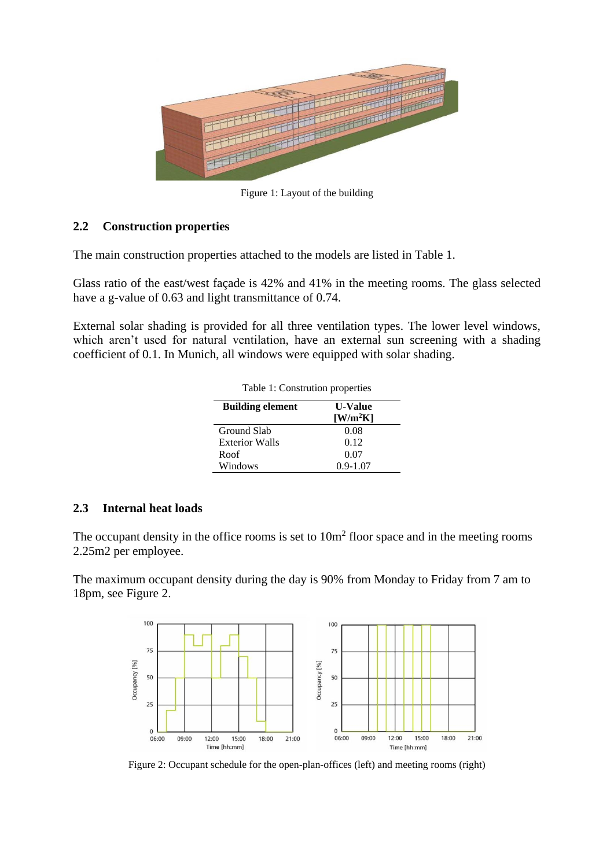

Figure 1: Layout of the building

#### **2.2 Construction properties**

The main construction properties attached to the models are listed in Table 1.

Glass ratio of the east/west façade is 42% and 41% in the meeting rooms. The glass selected have a g-value of 0.63 and light transmittance of 0.74.

External solar shading is provided for all three ventilation types. The lower level windows, which aren't used for natural ventilation, have an external sun screening with a shading coefficient of 0.1. In Munich, all windows were equipped with solar shading.

| Table 1: Constrution properties |                                                       |
|---------------------------------|-------------------------------------------------------|
| <b>Building element</b>         | <b>U-Value</b><br>$\left[\text{W/m}^2\text{K}\right]$ |
| Ground Slab                     | 0.08                                                  |
| <b>Exterior Walls</b>           | 0.12                                                  |
| Roof                            | 0.07                                                  |
| Windows                         | $0.9 - 1.07$                                          |

#### **2.3 Internal heat loads**

The occupant density in the office rooms is set to  $10m<sup>2</sup>$  floor space and in the meeting rooms 2.25m2 per employee.

The maximum occupant density during the day is 90% from Monday to Friday from 7 am to 18pm, see Figure 2.



Figure 2: Occupant schedule for the open-plan-offices (left) and meeting rooms (right)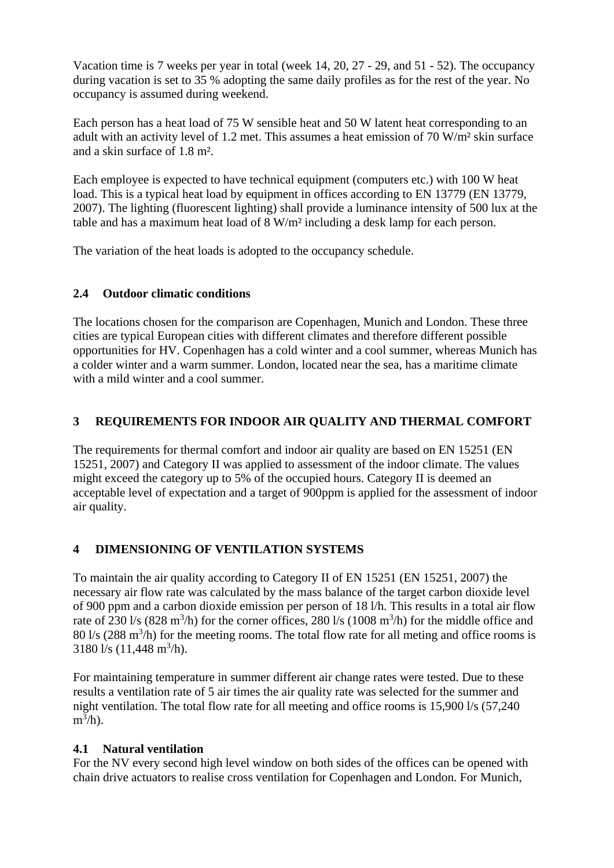Vacation time is 7 weeks per year in total (week 14, 20, 27 - 29, and 51 - 52). The occupancy during vacation is set to 35 % adopting the same daily profiles as for the rest of the year. No occupancy is assumed during weekend.

Each person has a heat load of 75 W sensible heat and 50 W latent heat corresponding to an adult with an activity level of 1.2 met. This assumes a heat emission of 70 W/m² skin surface and a skin surface of 1.8 m².

Each employee is expected to have technical equipment (computers etc.) with 100 W heat load. This is a typical heat load by equipment in offices according to EN 13779 (EN 13779, 2007). The lighting (fluorescent lighting) shall provide a luminance intensity of 500 lux at the table and has a maximum heat load of 8 W/m² including a desk lamp for each person.

The variation of the heat loads is adopted to the occupancy schedule.

### **2.4 Outdoor climatic conditions**

The locations chosen for the comparison are Copenhagen, Munich and London. These three cities are typical European cities with different climates and therefore different possible opportunities for HV. Copenhagen has a cold winter and a cool summer, whereas Munich has a colder winter and a warm summer. London, located near the sea, has a maritime climate with a mild winter and a cool summer.

# **3 REQUIREMENTS FOR INDOOR AIR QUALITY AND THERMAL COMFORT**

The requirements for thermal comfort and indoor air quality are based on EN 15251 (EN 15251, 2007) and Category II was applied to assessment of the indoor climate. The values might exceed the category up to 5% of the occupied hours. Category II is deemed an acceptable level of expectation and a target of 900ppm is applied for the assessment of indoor air quality.

# **4 DIMENSIONING OF VENTILATION SYSTEMS**

To maintain the air quality according to Category II of EN 15251 (EN 15251, 2007) the necessary air flow rate was calculated by the mass balance of the target carbon dioxide level of 900 ppm and a carbon dioxide emission per person of 18 l/h. This results in a total air flow rate of 230  $1/s$  (828 m<sup>3</sup>/h) for the corner offices, 280  $1/s$  (1008 m<sup>3</sup>/h) for the middle office and  $80 \frac{1}{s}$  (288 m<sup>3</sup>/h) for the meeting rooms. The total flow rate for all meting and office rooms is  $3180 \frac{1}{s} (11,448 \frac{m^3}{h}).$ 

For maintaining temperature in summer different air change rates were tested. Due to these results a ventilation rate of 5 air times the air quality rate was selected for the summer and night ventilation. The total flow rate for all meeting and office rooms is 15,900 l/s (57,240  $m^3/h$ ).

### **4.1 Natural ventilation**

For the NV every second high level window on both sides of the offices can be opened with chain drive actuators to realise cross ventilation for Copenhagen and London. For Munich,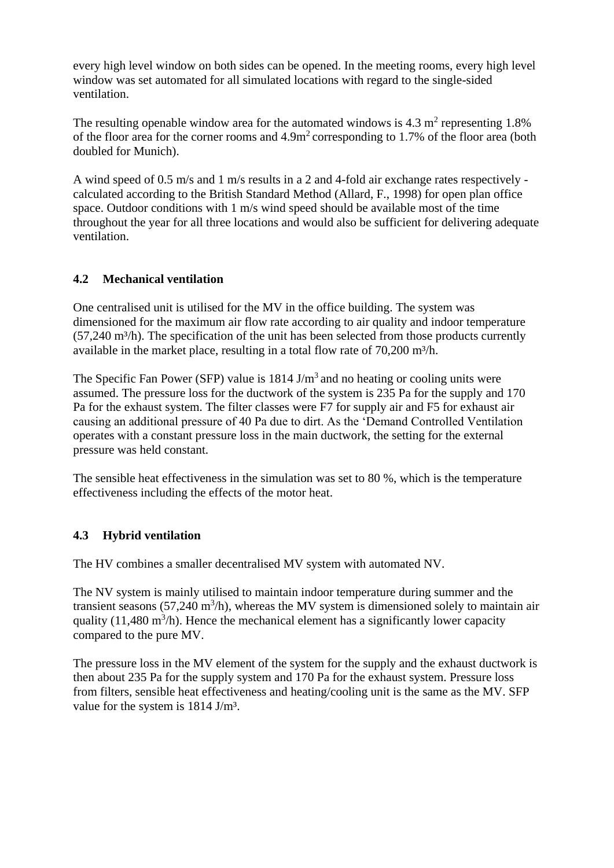every high level window on both sides can be opened. In the meeting rooms, every high level window was set automated for all simulated locations with regard to the single-sided ventilation.

The resulting openable window area for the automated windows is  $4.3 \text{ m}^2$  representing 1.8% of the floor area for the corner rooms and  $4.9m<sup>2</sup>$  corresponding to 1.7% of the floor area (both doubled for Munich).

A wind speed of 0.5 m/s and 1 m/s results in a 2 and 4-fold air exchange rates respectively calculated according to the British Standard Method (Allard, F., 1998) for open plan office space. Outdoor conditions with 1 m/s wind speed should be available most of the time throughout the year for all three locations and would also be sufficient for delivering adequate ventilation.

#### **4.2 Mechanical ventilation**

One centralised unit is utilised for the MV in the office building. The system was dimensioned for the maximum air flow rate according to air quality and indoor temperature  $(57,240 \text{ m}^3/h)$ . The specification of the unit has been selected from those products currently available in the market place, resulting in a total flow rate of 70,200 m<sup>3</sup>/h.

The Specific Fan Power (SFP) value is  $1814 \text{ J/m}^3$  and no heating or cooling units were assumed. The pressure loss for the ductwork of the system is 235 Pa for the supply and 170 Pa for the exhaust system. The filter classes were F7 for supply air and F5 for exhaust air causing an additional pressure of 40 Pa due to dirt. As the 'Demand Controlled Ventilation operates with a constant pressure loss in the main ductwork, the setting for the external pressure was held constant.

The sensible heat effectiveness in the simulation was set to 80 %, which is the temperature effectiveness including the effects of the motor heat.

### **4.3 Hybrid ventilation**

The HV combines a smaller decentralised MV system with automated NV.

The NV system is mainly utilised to maintain indoor temperature during summer and the transient seasons  $(57,240 \text{ m}^3/h)$ , whereas the MV system is dimensioned solely to maintain air quality (11,480 m<sup>3</sup>/h). Hence the mechanical element has a significantly lower capacity compared to the pure MV.

The pressure loss in the MV element of the system for the supply and the exhaust ductwork is then about 235 Pa for the supply system and 170 Pa for the exhaust system. Pressure loss from filters, sensible heat effectiveness and heating/cooling unit is the same as the MV. SFP value for the system is 1814 J/m<sup>3</sup>.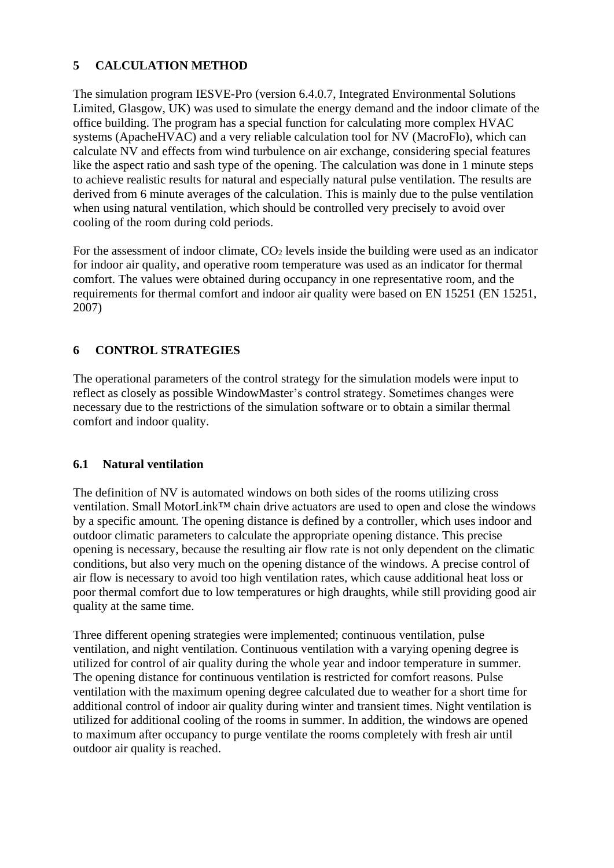#### **5 CALCULATION METHOD**

The simulation program IESVE-Pro (version 6.4.0.7, Integrated Environmental Solutions Limited, Glasgow, UK) was used to simulate the energy demand and the indoor climate of the office building. The program has a special function for calculating more complex HVAC systems (ApacheHVAC) and a very reliable calculation tool for NV (MacroFlo), which can calculate NV and effects from wind turbulence on air exchange, considering special features like the aspect ratio and sash type of the opening. The calculation was done in 1 minute steps to achieve realistic results for natural and especially natural pulse ventilation. The results are derived from 6 minute averages of the calculation. This is mainly due to the pulse ventilation when using natural ventilation, which should be controlled very precisely to avoid over cooling of the room during cold periods.

For the assessment of indoor climate,  $CO<sub>2</sub>$  levels inside the building were used as an indicator for indoor air quality, and operative room temperature was used as an indicator for thermal comfort. The values were obtained during occupancy in one representative room, and the requirements for thermal comfort and indoor air quality were based on EN 15251 (EN 15251, 2007)

### **6 CONTROL STRATEGIES**

The operational parameters of the control strategy for the simulation models were input to reflect as closely as possible WindowMaster's control strategy. Sometimes changes were necessary due to the restrictions of the simulation software or to obtain a similar thermal comfort and indoor quality.

#### **6.1 Natural ventilation**

The definition of NV is automated windows on both sides of the rooms utilizing cross ventilation. Small MotorLink™ chain drive actuators are used to open and close the windows by a specific amount. The opening distance is defined by a controller, which uses indoor and outdoor climatic parameters to calculate the appropriate opening distance. This precise opening is necessary, because the resulting air flow rate is not only dependent on the climatic conditions, but also very much on the opening distance of the windows. A precise control of air flow is necessary to avoid too high ventilation rates, which cause additional heat loss or poor thermal comfort due to low temperatures or high draughts, while still providing good air quality at the same time.

Three different opening strategies were implemented; continuous ventilation, pulse ventilation, and night ventilation. Continuous ventilation with a varying opening degree is utilized for control of air quality during the whole year and indoor temperature in summer. The opening distance for continuous ventilation is restricted for comfort reasons. Pulse ventilation with the maximum opening degree calculated due to weather for a short time for additional control of indoor air quality during winter and transient times. Night ventilation is utilized for additional cooling of the rooms in summer. In addition, the windows are opened to maximum after occupancy to purge ventilate the rooms completely with fresh air until outdoor air quality is reached.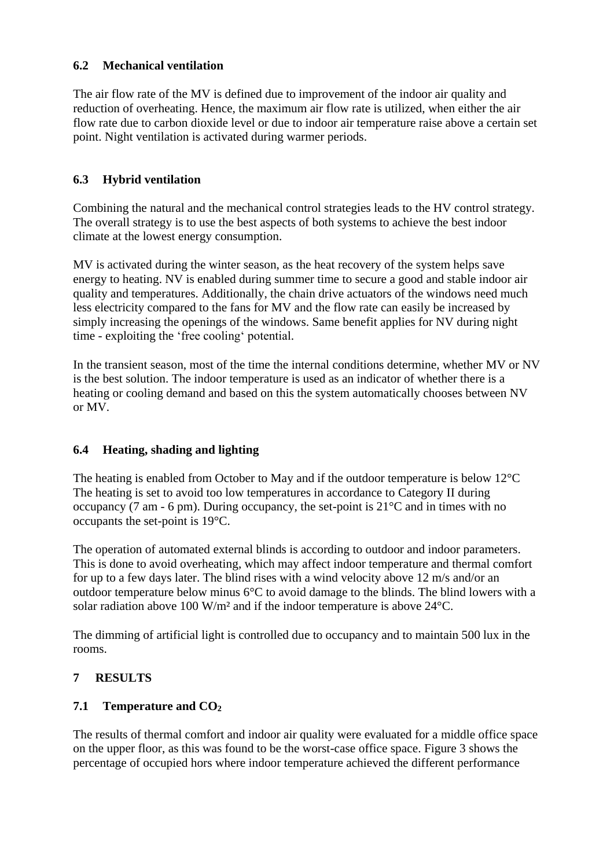#### **6.2 Mechanical ventilation**

The air flow rate of the MV is defined due to improvement of the indoor air quality and reduction of overheating. Hence, the maximum air flow rate is utilized, when either the air flow rate due to carbon dioxide level or due to indoor air temperature raise above a certain set point. Night ventilation is activated during warmer periods.

### **6.3 Hybrid ventilation**

Combining the natural and the mechanical control strategies leads to the HV control strategy. The overall strategy is to use the best aspects of both systems to achieve the best indoor climate at the lowest energy consumption.

MV is activated during the winter season, as the heat recovery of the system helps save energy to heating. NV is enabled during summer time to secure a good and stable indoor air quality and temperatures. Additionally, the chain drive actuators of the windows need much less electricity compared to the fans for MV and the flow rate can easily be increased by simply increasing the openings of the windows. Same benefit applies for NV during night time - exploiting the 'free cooling' potential.

In the transient season, most of the time the internal conditions determine, whether MV or NV is the best solution. The indoor temperature is used as an indicator of whether there is a heating or cooling demand and based on this the system automatically chooses between NV or MV.

### **6.4 Heating, shading and lighting**

The heating is enabled from October to May and if the outdoor temperature is below 12°C The heating is set to avoid too low temperatures in accordance to Category II during occupancy (7 am - 6 pm). During occupancy, the set-point is  $21^{\circ}$ C and in times with no occupants the set-point is 19°C.

The operation of automated external blinds is according to outdoor and indoor parameters. This is done to avoid overheating, which may affect indoor temperature and thermal comfort for up to a few days later. The blind rises with a wind velocity above 12 m/s and/or an outdoor temperature below minus  $6^{\circ}C$  to avoid damage to the blinds. The blind lowers with a solar radiation above 100 W/m² and if the indoor temperature is above 24°C.

The dimming of artificial light is controlled due to occupancy and to maintain 500 lux in the rooms.

### **7 RESULTS**

### **7.1 Temperature and CO<sup>2</sup>**

The results of thermal comfort and indoor air quality were evaluated for a middle office space on the upper floor, as this was found to be the worst-case office space. Figure 3 shows the percentage of occupied hors where indoor temperature achieved the different performance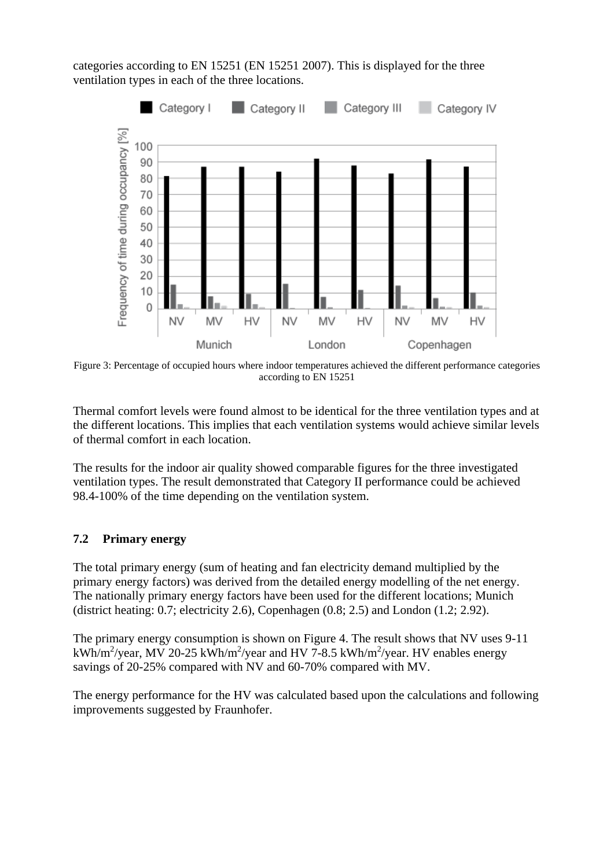categories according to EN 15251 (EN 15251 2007). This is displayed for the three ventilation types in each of the three locations.



Figure 3: Percentage of occupied hours where indoor temperatures achieved the different performance categories according to EN 15251

Thermal comfort levels were found almost to be identical for the three ventilation types and at the different locations. This implies that each ventilation systems would achieve similar levels of thermal comfort in each location.

The results for the indoor air quality showed comparable figures for the three investigated ventilation types. The result demonstrated that Category II performance could be achieved 98.4-100% of the time depending on the ventilation system.

#### **7.2 Primary energy**

The total primary energy (sum of heating and fan electricity demand multiplied by the primary energy factors) was derived from the detailed energy modelling of the net energy. The nationally primary energy factors have been used for the different locations; Munich (district heating: 0.7; electricity 2.6), Copenhagen (0.8; 2.5) and London (1.2; 2.92).

The primary energy consumption is shown on Figure 4. The result shows that NV uses 9-11 kWh/m<sup>2</sup>/year, MV 20-25 kWh/m<sup>2</sup>/year and HV 7-8.5 kWh/m<sup>2</sup>/year. HV enables energy savings of 20-25% compared with NV and 60-70% compared with MV.

The energy performance for the HV was calculated based upon the calculations and following improvements suggested by Fraunhofer.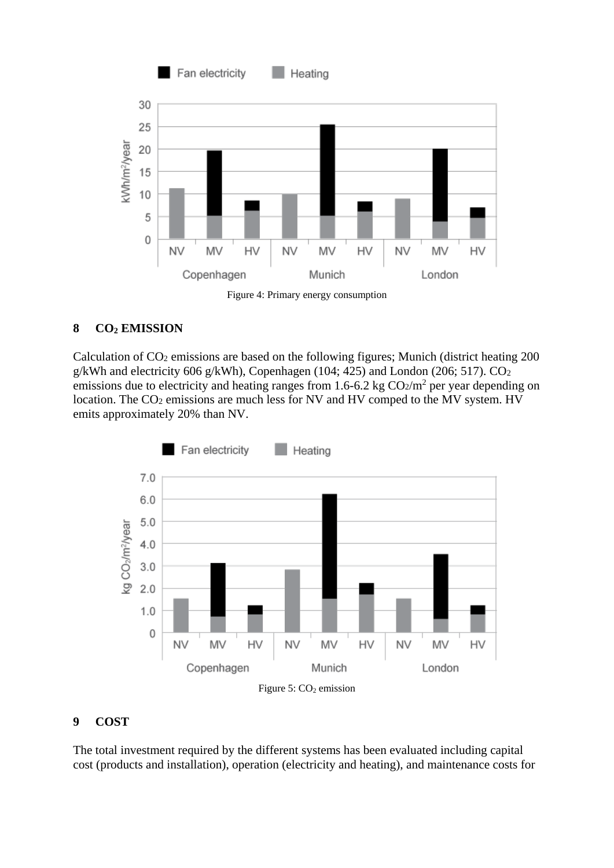

Figure 4: Primary energy consumption

### **8 CO<sup>2</sup> EMISSION**

Calculation of CO<sup>2</sup> emissions are based on the following figures; Munich (district heating 200 g/kWh and electricity 606 g/kWh), Copenhagen (104; 425) and London (206; 517).  $CO<sub>2</sub>$ emissions due to electricity and heating ranges from 1.6-6.2 kg  $CO<sub>2</sub>/m<sup>2</sup>$  per year depending on location. The CO<sub>2</sub> emissions are much less for NV and HV comped to the MV system. HV emits approximately 20% than NV.



#### **9 COST**

The total investment required by the different systems has been evaluated including capital cost (products and installation), operation (electricity and heating), and maintenance costs for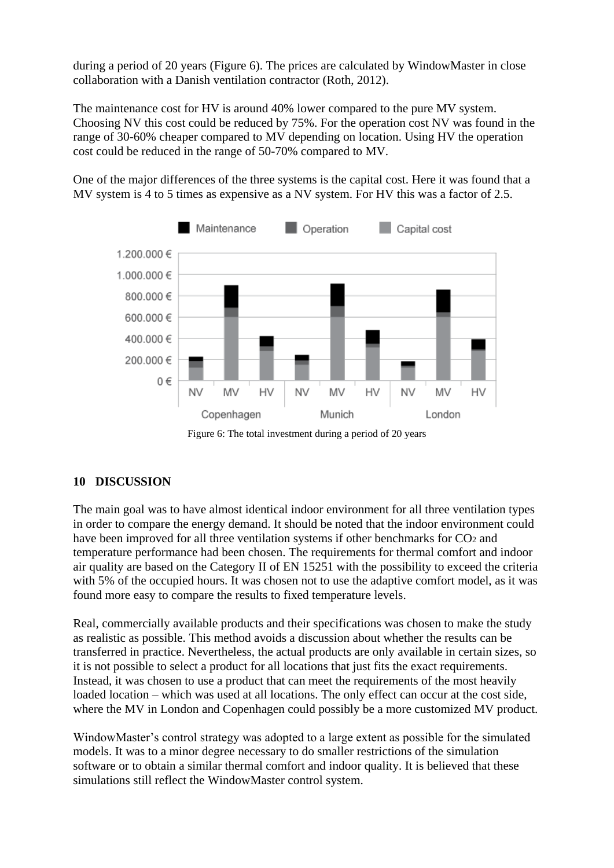during a period of 20 years (Figure 6). The prices are calculated by WindowMaster in close collaboration with a Danish ventilation contractor (Roth, 2012).

The maintenance cost for HV is around 40% lower compared to the pure MV system. Choosing NV this cost could be reduced by 75%. For the operation cost NV was found in the range of 30-60% cheaper compared to MV depending on location. Using HV the operation cost could be reduced in the range of 50-70% compared to MV.

One of the major differences of the three systems is the capital cost. Here it was found that a MV system is 4 to 5 times as expensive as a NV system. For HV this was a factor of 2.5.



Figure 6: The total investment during a period of 20 years

### **10 DISCUSSION**

The main goal was to have almost identical indoor environment for all three ventilation types in order to compare the energy demand. It should be noted that the indoor environment could have been improved for all three ventilation systems if other benchmarks for  $CO<sub>2</sub>$  and temperature performance had been chosen. The requirements for thermal comfort and indoor air quality are based on the Category II of EN 15251 with the possibility to exceed the criteria with 5% of the occupied hours. It was chosen not to use the adaptive comfort model, as it was found more easy to compare the results to fixed temperature levels.

Real, commercially available products and their specifications was chosen to make the study as realistic as possible. This method avoids a discussion about whether the results can be transferred in practice. Nevertheless, the actual products are only available in certain sizes, so it is not possible to select a product for all locations that just fits the exact requirements. Instead, it was chosen to use a product that can meet the requirements of the most heavily loaded location – which was used at all locations. The only effect can occur at the cost side, where the MV in London and Copenhagen could possibly be a more customized MV product.

WindowMaster's control strategy was adopted to a large extent as possible for the simulated models. It was to a minor degree necessary to do smaller restrictions of the simulation software or to obtain a similar thermal comfort and indoor quality. It is believed that these simulations still reflect the WindowMaster control system.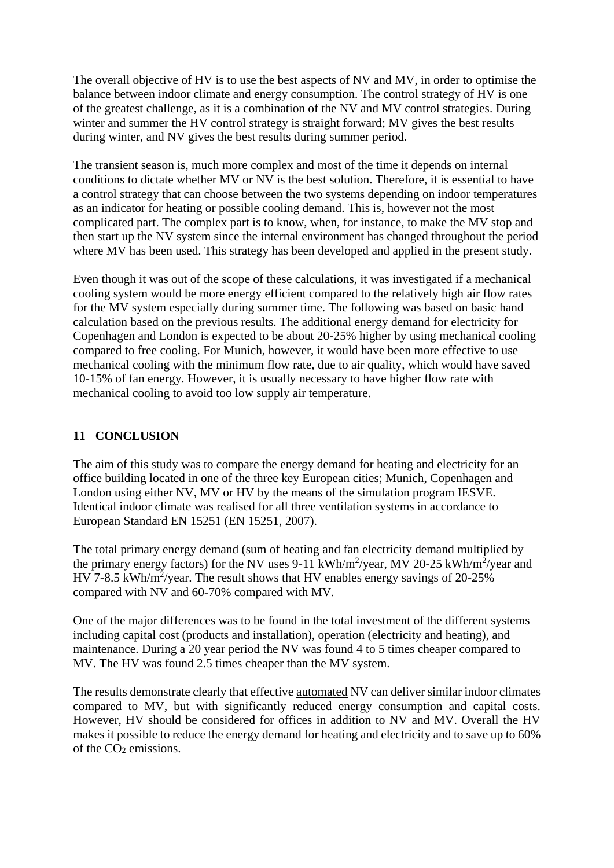The overall objective of HV is to use the best aspects of NV and MV, in order to optimise the balance between indoor climate and energy consumption. The control strategy of HV is one of the greatest challenge, as it is a combination of the NV and MV control strategies. During winter and summer the HV control strategy is straight forward; MV gives the best results during winter, and NV gives the best results during summer period.

The transient season is, much more complex and most of the time it depends on internal conditions to dictate whether MV or NV is the best solution. Therefore, it is essential to have a control strategy that can choose between the two systems depending on indoor temperatures as an indicator for heating or possible cooling demand. This is, however not the most complicated part. The complex part is to know, when, for instance, to make the MV stop and then start up the NV system since the internal environment has changed throughout the period where MV has been used. This strategy has been developed and applied in the present study.

Even though it was out of the scope of these calculations, it was investigated if a mechanical cooling system would be more energy efficient compared to the relatively high air flow rates for the MV system especially during summer time. The following was based on basic hand calculation based on the previous results. The additional energy demand for electricity for Copenhagen and London is expected to be about 20-25% higher by using mechanical cooling compared to free cooling. For Munich, however, it would have been more effective to use mechanical cooling with the minimum flow rate, due to air quality, which would have saved 10-15% of fan energy. However, it is usually necessary to have higher flow rate with mechanical cooling to avoid too low supply air temperature.

### **11 CONCLUSION**

The aim of this study was to compare the energy demand for heating and electricity for an office building located in one of the three key European cities; Munich, Copenhagen and London using either NV, MV or HV by the means of the simulation program IESVE. Identical indoor climate was realised for all three ventilation systems in accordance to European Standard EN 15251 (EN 15251, 2007).

The total primary energy demand (sum of heating and fan electricity demand multiplied by the primary energy factors) for the NV uses  $9-11$  kWh/m<sup>2</sup>/year, MV 20-25 kWh/m<sup>2</sup>/year and HV 7-8.5 kWh/m<sup>2</sup>/year. The result shows that HV enables energy savings of  $20-25%$ compared with NV and 60-70% compared with MV.

One of the major differences was to be found in the total investment of the different systems including capital cost (products and installation), operation (electricity and heating), and maintenance. During a 20 year period the NV was found 4 to 5 times cheaper compared to MV. The HV was found 2.5 times cheaper than the MV system.

The results demonstrate clearly that effective automated NV can deliver similar indoor climates compared to MV, but with significantly reduced energy consumption and capital costs. However, HV should be considered for offices in addition to NV and MV. Overall the HV makes it possible to reduce the energy demand for heating and electricity and to save up to 60% of the CO<sup>2</sup> emissions.